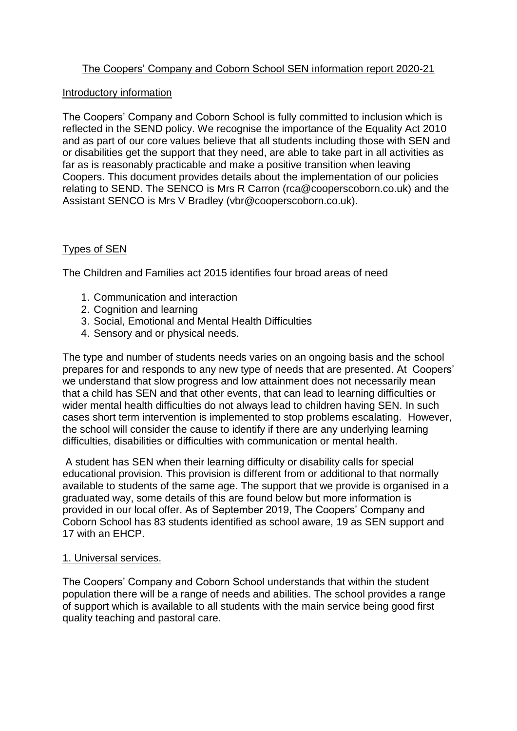# The Coopers' Company and Coborn School SEN information report 2020-21

#### Introductory information

The Coopers' Company and Coborn School is fully committed to inclusion which is reflected in the SEND policy. We recognise the importance of the Equality Act 2010 and as part of our core values believe that all students including those with SEN and or disabilities get the support that they need, are able to take part in all activities as far as is reasonably practicable and make a positive transition when leaving Coopers. This document provides details about the implementation of our policies relating to SEND. The SENCO is Mrs R Carron (rca@cooperscoborn.co.uk) and the Assistant SENCO is Mrs V Bradley (vbr@cooperscoborn.co.uk).

# Types of SEN

The Children and Families act 2015 identifies four broad areas of need

- 1. Communication and interaction
- 2. Cognition and learning
- 3. Social, Emotional and Mental Health Difficulties
- 4. Sensory and or physical needs.

The type and number of students needs varies on an ongoing basis and the school prepares for and responds to any new type of needs that are presented. At Coopers' we understand that slow progress and low attainment does not necessarily mean that a child has SEN and that other events, that can lead to learning difficulties or wider mental health difficulties do not always lead to children having SEN. In such cases short term intervention is implemented to stop problems escalating. However, the school will consider the cause to identify if there are any underlying learning difficulties, disabilities or difficulties with communication or mental health.

A student has SEN when their learning difficulty or disability calls for special educational provision. This provision is different from or additional to that normally available to students of the same age. The support that we provide is organised in a graduated way, some details of this are found below but more information is provided in our local offer. As of September 2019, The Coopers' Company and Coborn School has 83 students identified as school aware, 19 as SEN support and 17 with an EHCP.

#### 1. Universal services.

The Coopers' Company and Coborn School understands that within the student population there will be a range of needs and abilities. The school provides a range of support which is available to all students with the main service being good first quality teaching and pastoral care.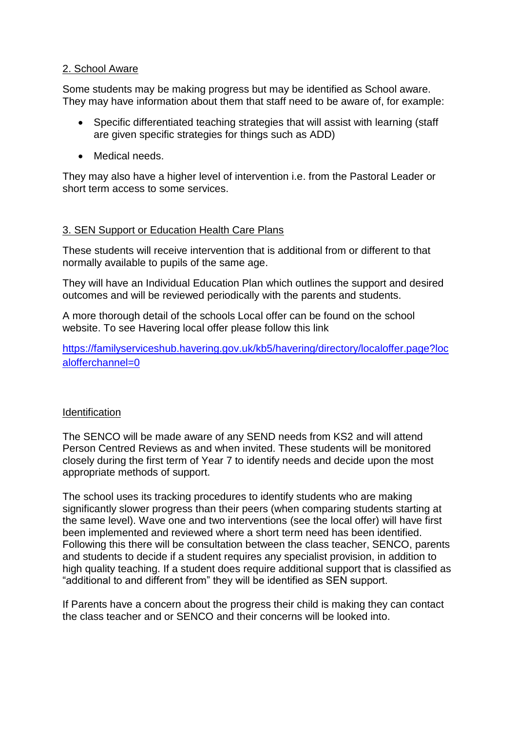## 2. School Aware

Some students may be making progress but may be identified as School aware. They may have information about them that staff need to be aware of, for example:

- Specific differentiated teaching strategies that will assist with learning (staff are given specific strategies for things such as ADD)
- Medical needs.

They may also have a higher level of intervention i.e. from the Pastoral Leader or short term access to some services.

## 3. SEN Support or Education Health Care Plans

These students will receive intervention that is additional from or different to that normally available to pupils of the same age.

They will have an Individual Education Plan which outlines the support and desired outcomes and will be reviewed periodically with the parents and students.

A more thorough detail of the schools Local offer can be found on the school website. To see Havering local offer please follow this link

[https://familyserviceshub.havering.gov.uk/kb5/havering/directory/localoffer.page?loc](https://familyserviceshub.havering.gov.uk/kb5/havering/directory/localoffer.page?localofferchannel=0) [alofferchannel=0](https://familyserviceshub.havering.gov.uk/kb5/havering/directory/localoffer.page?localofferchannel=0)

## **Identification**

The SENCO will be made aware of any SEND needs from KS2 and will attend Person Centred Reviews as and when invited. These students will be monitored closely during the first term of Year 7 to identify needs and decide upon the most appropriate methods of support.

The school uses its tracking procedures to identify students who are making significantly slower progress than their peers (when comparing students starting at the same level). Wave one and two interventions (see the local offer) will have first been implemented and reviewed where a short term need has been identified. Following this there will be consultation between the class teacher, SENCO, parents and students to decide if a student requires any specialist provision, in addition to high quality teaching. If a student does require additional support that is classified as "additional to and different from" they will be identified as SEN support.

If Parents have a concern about the progress their child is making they can contact the class teacher and or SENCO and their concerns will be looked into.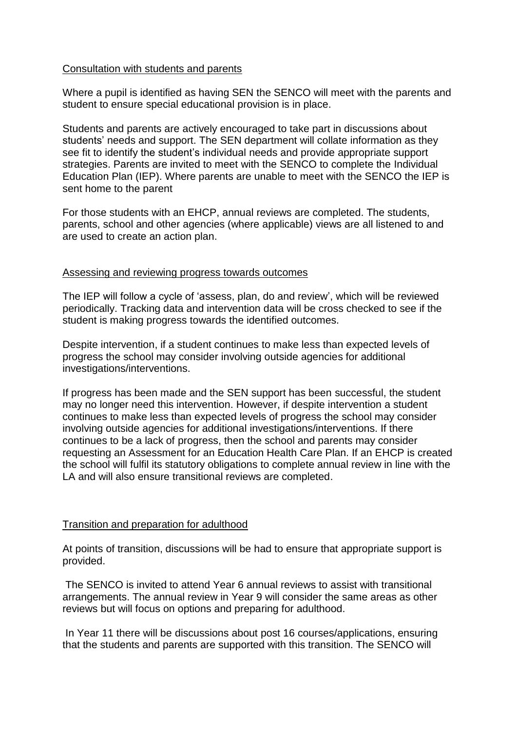### Consultation with students and parents

Where a pupil is identified as having SEN the SENCO will meet with the parents and student to ensure special educational provision is in place.

Students and parents are actively encouraged to take part in discussions about students' needs and support. The SEN department will collate information as they see fit to identify the student's individual needs and provide appropriate support strategies. Parents are invited to meet with the SENCO to complete the Individual Education Plan (IEP). Where parents are unable to meet with the SENCO the IEP is sent home to the parent

For those students with an EHCP, annual reviews are completed. The students, parents, school and other agencies (where applicable) views are all listened to and are used to create an action plan.

### Assessing and reviewing progress towards outcomes

The IEP will follow a cycle of 'assess, plan, do and review', which will be reviewed periodically. Tracking data and intervention data will be cross checked to see if the student is making progress towards the identified outcomes.

Despite intervention, if a student continues to make less than expected levels of progress the school may consider involving outside agencies for additional investigations/interventions.

If progress has been made and the SEN support has been successful, the student may no longer need this intervention. However, if despite intervention a student continues to make less than expected levels of progress the school may consider involving outside agencies for additional investigations/interventions. If there continues to be a lack of progress, then the school and parents may consider requesting an Assessment for an Education Health Care Plan. If an EHCP is created the school will fulfil its statutory obligations to complete annual review in line with the LA and will also ensure transitional reviews are completed.

## Transition and preparation for adulthood

At points of transition, discussions will be had to ensure that appropriate support is provided.

The SENCO is invited to attend Year 6 annual reviews to assist with transitional arrangements. The annual review in Year 9 will consider the same areas as other reviews but will focus on options and preparing for adulthood.

In Year 11 there will be discussions about post 16 courses/applications, ensuring that the students and parents are supported with this transition. The SENCO will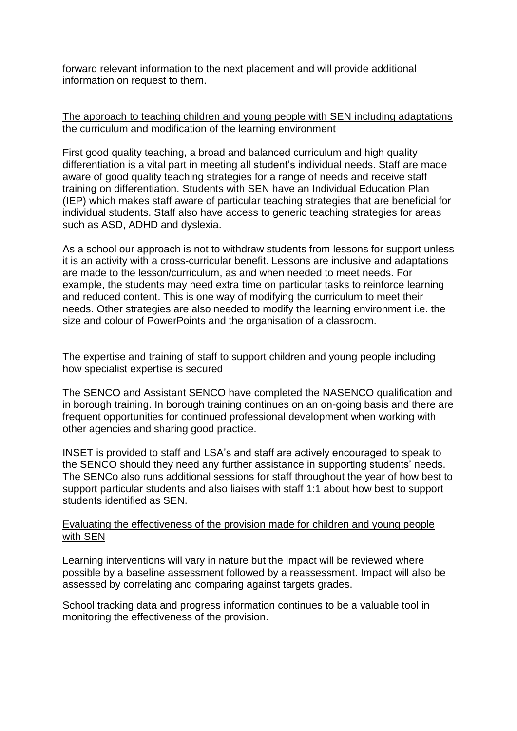forward relevant information to the next placement and will provide additional information on request to them.

## The approach to teaching children and young people with SEN including adaptations the curriculum and modification of the learning environment

First good quality teaching, a broad and balanced curriculum and high quality differentiation is a vital part in meeting all student's individual needs. Staff are made aware of good quality teaching strategies for a range of needs and receive staff training on differentiation. Students with SEN have an Individual Education Plan (IEP) which makes staff aware of particular teaching strategies that are beneficial for individual students. Staff also have access to generic teaching strategies for areas such as ASD, ADHD and dyslexia.

As a school our approach is not to withdraw students from lessons for support unless it is an activity with a cross-curricular benefit. Lessons are inclusive and adaptations are made to the lesson/curriculum, as and when needed to meet needs. For example, the students may need extra time on particular tasks to reinforce learning and reduced content. This is one way of modifying the curriculum to meet their needs. Other strategies are also needed to modify the learning environment i.e. the size and colour of PowerPoints and the organisation of a classroom.

## The expertise and training of staff to support children and young people including how specialist expertise is secured

The SENCO and Assistant SENCO have completed the NASENCO qualification and in borough training. In borough training continues on an on-going basis and there are frequent opportunities for continued professional development when working with other agencies and sharing good practice.

INSET is provided to staff and LSA's and staff are actively encouraged to speak to the SENCO should they need any further assistance in supporting students' needs. The SENCo also runs additional sessions for staff throughout the year of how best to support particular students and also liaises with staff 1:1 about how best to support students identified as SEN.

## Evaluating the effectiveness of the provision made for children and young people with SEN

Learning interventions will vary in nature but the impact will be reviewed where possible by a baseline assessment followed by a reassessment. Impact will also be assessed by correlating and comparing against targets grades.

School tracking data and progress information continues to be a valuable tool in monitoring the effectiveness of the provision.